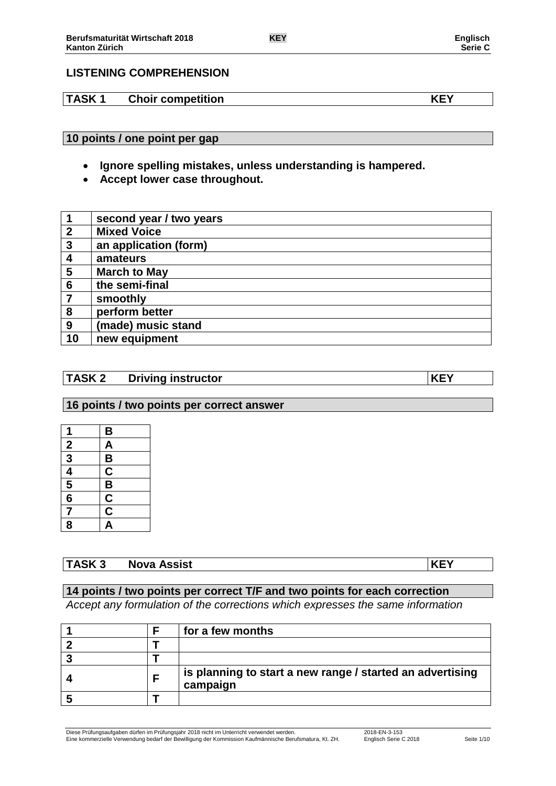## **LISTENING COMPREHENSION**

**TASK 1 Choir competition KEY**

**10 points / one point per gap**

- **Ignore spelling mistakes, unless understanding is hampered.**
- **Accept lower case throughout.**

|                  | second year / two years |
|------------------|-------------------------|
| $\overline{2}$   | <b>Mixed Voice</b>      |
| $\overline{3}$   | an application (form)   |
| $\boldsymbol{4}$ | amateurs                |
| 5                | <b>March to May</b>     |
| $6\phantom{1}6$  | the semi-final          |
| 7                | smoothly                |
| 8                | perform better          |
| 9                | (made) music stand      |
| 10               | new equipment           |

## **TASK 2 Driving instructor KEY**

## **16 points / two points per correct answer**

| 1                           | B                                   |
|-----------------------------|-------------------------------------|
|                             | <u>A</u>                            |
|                             | $\overline{\mathsf{B}}$             |
|                             |                                     |
| $\frac{2}{3}$ $\frac{4}{5}$ | $\frac{\overline{C}}{\overline{B}}$ |
| $\overline{\mathbf{6}}$     |                                     |
| 7                           | $\frac{\overline{c}}{\overline{c}}$ |
| 8                           | $\overline{\mathsf{A}}$             |

# **TASK 3 Nova Assist KEY**

### **14 points / two points per correct T/F and two points for each correction**

*Accept any formulation of the corrections which expresses the same information*

|  | for a few months                                                      |
|--|-----------------------------------------------------------------------|
|  |                                                                       |
|  |                                                                       |
|  | is planning to start a new range / started an advertising<br>campaign |
|  |                                                                       |

Diese Prüfungsaufgaben dürfen im Prüfungsjahr 2018 nicht im Unterricht verwendet werden. 2018-EN-3-153 Eine kommerzielle Verwendung bedarf der Bewilligung der Kommission Kaufmännische Berufsmatura, Kt. ZH. Englisch Serie C 2018 Seite 1/10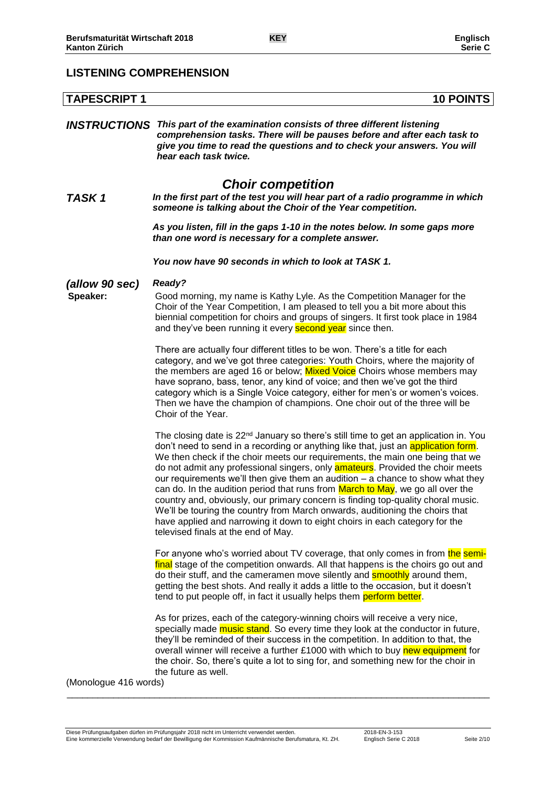# **LISTENING COMPREHENSION**

| <b>TAPESCRIPT 1</b>        | <b>10 POINTS</b>                                                                                                                                                                                                                                                                                                                                                                                                                                                                                                                                                                                                                                                                                                                                                                                                                |
|----------------------------|---------------------------------------------------------------------------------------------------------------------------------------------------------------------------------------------------------------------------------------------------------------------------------------------------------------------------------------------------------------------------------------------------------------------------------------------------------------------------------------------------------------------------------------------------------------------------------------------------------------------------------------------------------------------------------------------------------------------------------------------------------------------------------------------------------------------------------|
|                            | <b>INSTRUCTIONS</b> This part of the examination consists of three different listening<br>comprehension tasks. There will be pauses before and after each task to<br>give you time to read the questions and to check your answers. You will<br>hear each task twice.                                                                                                                                                                                                                                                                                                                                                                                                                                                                                                                                                           |
| <b>TASK1</b>               | <b>Choir competition</b><br>In the first part of the test you will hear part of a radio programme in which<br>someone is talking about the Choir of the Year competition.                                                                                                                                                                                                                                                                                                                                                                                                                                                                                                                                                                                                                                                       |
|                            | As you listen, fill in the gaps 1-10 in the notes below. In some gaps more<br>than one word is necessary for a complete answer.                                                                                                                                                                                                                                                                                                                                                                                                                                                                                                                                                                                                                                                                                                 |
|                            | You now have 90 seconds in which to look at TASK 1.                                                                                                                                                                                                                                                                                                                                                                                                                                                                                                                                                                                                                                                                                                                                                                             |
| (allow 90 sec)<br>Speaker: | <b>Ready?</b><br>Good morning, my name is Kathy Lyle. As the Competition Manager for the<br>Choir of the Year Competition, I am pleased to tell you a bit more about this<br>biennial competition for choirs and groups of singers. It first took place in 1984<br>and they've been running it every <b>second year</b> since then.                                                                                                                                                                                                                                                                                                                                                                                                                                                                                             |
|                            | There are actually four different titles to be won. There's a title for each<br>category, and we've got three categories: Youth Choirs, where the majority of<br>the members are aged 16 or below; Mixed Voice Choirs whose members may<br>have soprano, bass, tenor, any kind of voice; and then we've got the third<br>category which is a Single Voice category, either for men's or women's voices.<br>Then we have the champion of champions. One choir out of the three will be<br>Choir of the Year.                                                                                                                                                                                                                                                                                                                     |
|                            | The closing date is 22 <sup>nd</sup> January so there's still time to get an application in. You<br>don't need to send in a recording or anything like that, just an application form.<br>We then check if the choir meets our requirements, the main one being that we<br>do not admit any professional singers, only <b>amateurs</b> . Provided the choir meets<br>our requirements we'll then give them an audition - a chance to show what they<br>can do. In the audition period that runs from March to May, we go all over the<br>country and, obviously, our primary concern is finding top-quality choral music.<br>We'll be touring the country from March onwards, auditioning the choirs that<br>have applied and narrowing it down to eight choirs in each category for the<br>televised finals at the end of May. |
|                            | For anyone who's worried about TV coverage, that only comes in from the semi-<br>final stage of the competition onwards. All that happens is the choirs go out and<br>do their stuff, and the cameramen move silently and <b>smoothly</b> around them,<br>getting the best shots. And really it adds a little to the occasion, but it doesn't<br>tend to put people off, in fact it usually helps them perform better.                                                                                                                                                                                                                                                                                                                                                                                                          |
| (Monologue 416 words)      | As for prizes, each of the category-winning choirs will receive a very nice,<br>specially made <b>music stand</b> . So every time they look at the conductor in future,<br>they'll be reminded of their success in the competition. In addition to that, the<br>overall winner will receive a further £1000 with which to buy new equipment for<br>the choir. So, there's quite a lot to sing for, and something new for the choir in<br>the future as well.                                                                                                                                                                                                                                                                                                                                                                    |
|                            |                                                                                                                                                                                                                                                                                                                                                                                                                                                                                                                                                                                                                                                                                                                                                                                                                                 |

\_\_\_\_\_\_\_\_\_\_\_\_\_\_\_\_\_\_\_\_\_\_\_\_\_\_\_\_\_\_\_\_\_\_\_\_\_\_\_\_\_\_\_\_\_\_\_\_\_\_\_\_\_\_\_\_\_\_\_\_\_\_\_\_\_\_\_\_\_\_\_\_\_\_\_\_\_\_\_\_\_\_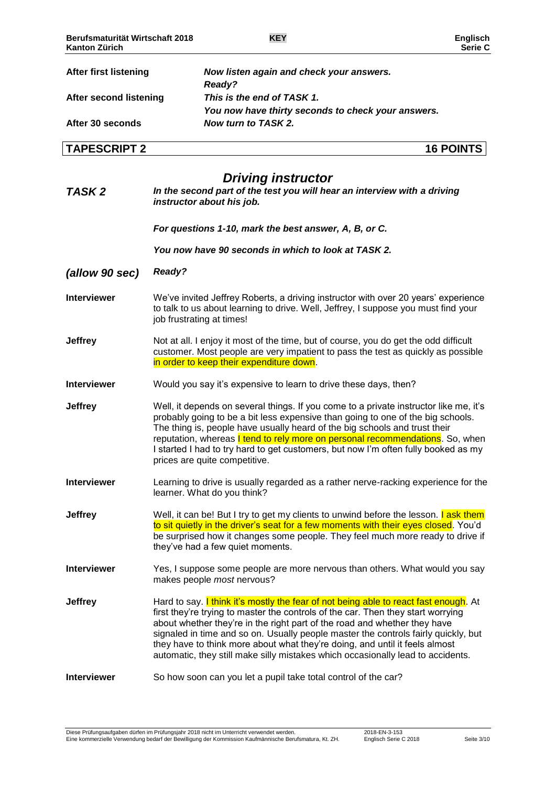| <b>After first listening</b> | Now listen again and check your answers.<br>Ready?                               |  |
|------------------------------|----------------------------------------------------------------------------------|--|
| After second listening       | This is the end of TASK 1.<br>You now have thirty seconds to check your answers. |  |
|                              |                                                                                  |  |
| After 30 seconds             | Now turn to TASK 2.                                                              |  |
| <b>TAPESCRIPT 2</b>          | <b>16 POINTS</b>                                                                 |  |

# *Driving instructor*

| TASK <sub>2</sub>  | <b>Driving instructor</b><br>In the second part of the test you will hear an interview with a driving<br>instructor about his job.                                                                                                                                                                                                                                                                                                                                                                            |
|--------------------|---------------------------------------------------------------------------------------------------------------------------------------------------------------------------------------------------------------------------------------------------------------------------------------------------------------------------------------------------------------------------------------------------------------------------------------------------------------------------------------------------------------|
|                    | For questions 1-10, mark the best answer, A, B, or C.                                                                                                                                                                                                                                                                                                                                                                                                                                                         |
|                    | You now have 90 seconds in which to look at TASK 2.                                                                                                                                                                                                                                                                                                                                                                                                                                                           |
| (allow 90 sec)     | Ready?                                                                                                                                                                                                                                                                                                                                                                                                                                                                                                        |
| <b>Interviewer</b> | We've invited Jeffrey Roberts, a driving instructor with over 20 years' experience<br>to talk to us about learning to drive. Well, Jeffrey, I suppose you must find your<br>job frustrating at times!                                                                                                                                                                                                                                                                                                         |
| <b>Jeffrey</b>     | Not at all. I enjoy it most of the time, but of course, you do get the odd difficult<br>customer. Most people are very impatient to pass the test as quickly as possible<br>in order to keep their expenditure down.                                                                                                                                                                                                                                                                                          |
| <b>Interviewer</b> | Would you say it's expensive to learn to drive these days, then?                                                                                                                                                                                                                                                                                                                                                                                                                                              |
| <b>Jeffrey</b>     | Well, it depends on several things. If you come to a private instructor like me, it's<br>probably going to be a bit less expensive than going to one of the big schools.<br>The thing is, people have usually heard of the big schools and trust their<br>reputation, whereas I tend to rely more on personal recommendations. So, when<br>I started I had to try hard to get customers, but now I'm often fully booked as my<br>prices are quite competitive.                                                |
| <b>Interviewer</b> | Learning to drive is usually regarded as a rather nerve-racking experience for the<br>learner. What do you think?                                                                                                                                                                                                                                                                                                                                                                                             |
| <b>Jeffrey</b>     | Well, it can be! But I try to get my clients to unwind before the lesson. I ask them<br>to sit quietly in the driver's seat for a few moments with their eyes closed. You'd<br>be surprised how it changes some people. They feel much more ready to drive if<br>they've had a few quiet moments.                                                                                                                                                                                                             |
| <b>Interviewer</b> | Yes, I suppose some people are more nervous than others. What would you say<br>makes people most nervous?                                                                                                                                                                                                                                                                                                                                                                                                     |
| <b>Jeffrey</b>     | Hard to say. I think it's mostly the fear of not being able to react fast enough. At<br>first they're trying to master the controls of the car. Then they start worrying<br>about whether they're in the right part of the road and whether they have<br>signaled in time and so on. Usually people master the controls fairly quickly, but<br>they have to think more about what they're doing, and until it feels almost<br>automatic, they still make silly mistakes which occasionally lead to accidents. |
| <b>Interviewer</b> | So how soon can you let a pupil take total control of the car?                                                                                                                                                                                                                                                                                                                                                                                                                                                |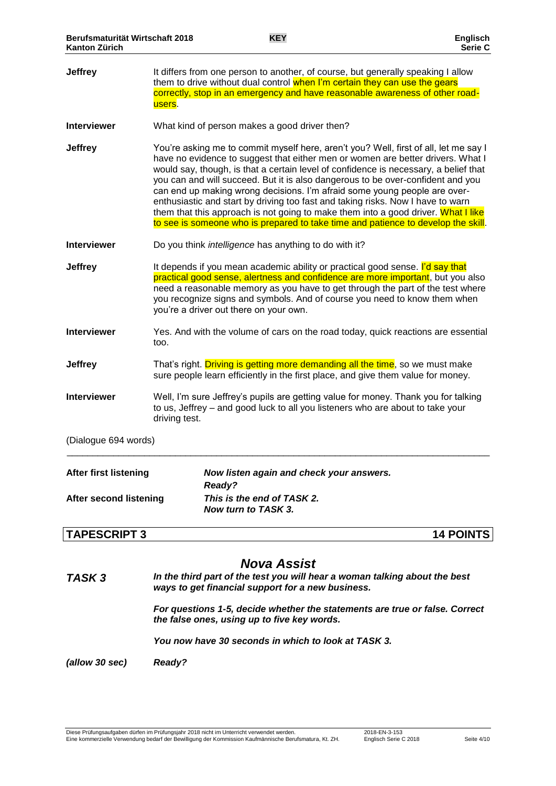| <b>After second listening</b> | This is the end of TASK 2.<br>Now turn to TASK 3.                                                                                                                                                                                                                                                                                                                                                                                                                                                                                                                                                                                                                                            |
|-------------------------------|----------------------------------------------------------------------------------------------------------------------------------------------------------------------------------------------------------------------------------------------------------------------------------------------------------------------------------------------------------------------------------------------------------------------------------------------------------------------------------------------------------------------------------------------------------------------------------------------------------------------------------------------------------------------------------------------|
| <b>After first listening</b>  | Now listen again and check your answers.<br>Ready?                                                                                                                                                                                                                                                                                                                                                                                                                                                                                                                                                                                                                                           |
| (Dialogue 694 words)          |                                                                                                                                                                                                                                                                                                                                                                                                                                                                                                                                                                                                                                                                                              |
| <b>Interviewer</b>            | Well, I'm sure Jeffrey's pupils are getting value for money. Thank you for talking<br>to us, Jeffrey – and good luck to all you listeners who are about to take your<br>driving test.                                                                                                                                                                                                                                                                                                                                                                                                                                                                                                        |
| <b>Jeffrey</b>                | That's right. Driving is getting more demanding all the time, so we must make<br>sure people learn efficiently in the first place, and give them value for money.                                                                                                                                                                                                                                                                                                                                                                                                                                                                                                                            |
| <b>Interviewer</b>            | Yes. And with the volume of cars on the road today, quick reactions are essential<br>too.                                                                                                                                                                                                                                                                                                                                                                                                                                                                                                                                                                                                    |
| Jeffrey                       | It depends if you mean academic ability or practical good sense. I'd say that<br>practical good sense, alertness and confidence are more important, but you also<br>need a reasonable memory as you have to get through the part of the test where<br>you recognize signs and symbols. And of course you need to know them when<br>you're a driver out there on your own.                                                                                                                                                                                                                                                                                                                    |
| <b>Interviewer</b>            | Do you think <i>intelligence</i> has anything to do with it?                                                                                                                                                                                                                                                                                                                                                                                                                                                                                                                                                                                                                                 |
| <b>Jeffrey</b>                | You're asking me to commit myself here, aren't you? Well, first of all, let me say I<br>have no evidence to suggest that either men or women are better drivers. What I<br>would say, though, is that a certain level of confidence is necessary, a belief that<br>you can and will succeed. But it is also dangerous to be over-confident and you<br>can end up making wrong decisions. I'm afraid some young people are over-<br>enthusiastic and start by driving too fast and taking risks. Now I have to warn<br>them that this approach is not going to make them into a good driver. What I like<br>to see is someone who is prepared to take time and patience to develop the skill. |
| <b>Interviewer</b>            | What kind of person makes a good driver then?                                                                                                                                                                                                                                                                                                                                                                                                                                                                                                                                                                                                                                                |
| <b>Jeffrey</b>                | It differs from one person to another, of course, but generally speaking I allow<br>them to drive without dual control when I'm certain they can use the gears<br>correctly, stop in an emergency and have reasonable awareness of other road-<br>users.                                                                                                                                                                                                                                                                                                                                                                                                                                     |

# **TAPESCRIPT 3 14 POINTS**

## *Nova Assist*

*TASK 3 In the third part of the test you will hear a woman talking about the best ways to get financial support for a new business.*

> *For questions 1-5, decide whether the statements are true or false. Correct the false ones, using up to five key words.*

*You now have 30 seconds in which to look at TASK 3.*

*(allow 30 sec) Ready?*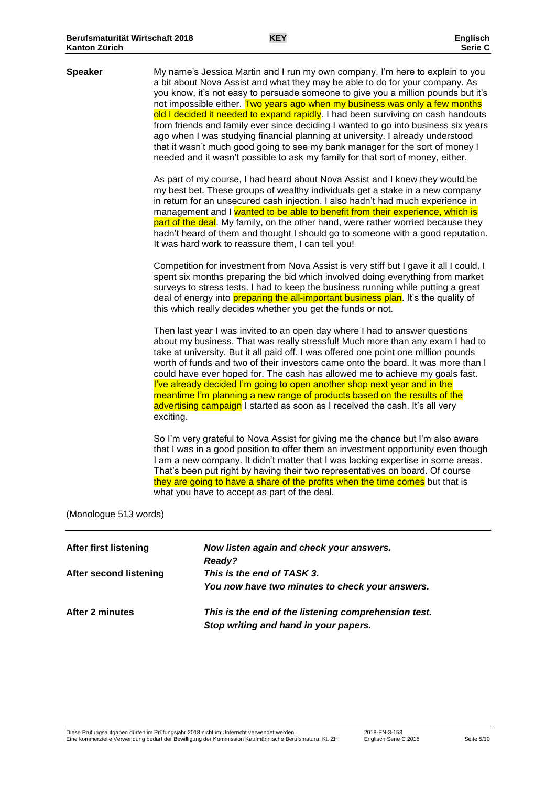| <b>Speaker</b>               | My name's Jessica Martin and I run my own company. I'm here to explain to you<br>a bit about Nova Assist and what they may be able to do for your company. As<br>you know, it's not easy to persuade someone to give you a million pounds but it's<br>not impossible either. Two years ago when my business was only a few months<br>old I decided it needed to expand rapidly. I had been surviving on cash handouts<br>from friends and family ever since deciding I wanted to go into business six years<br>ago when I was studying financial planning at university. I already understood<br>that it wasn't much good going to see my bank manager for the sort of money I<br>needed and it wasn't possible to ask my family for that sort of money, either. |
|------------------------------|------------------------------------------------------------------------------------------------------------------------------------------------------------------------------------------------------------------------------------------------------------------------------------------------------------------------------------------------------------------------------------------------------------------------------------------------------------------------------------------------------------------------------------------------------------------------------------------------------------------------------------------------------------------------------------------------------------------------------------------------------------------|
|                              | As part of my course, I had heard about Nova Assist and I knew they would be<br>my best bet. These groups of wealthy individuals get a stake in a new company<br>in return for an unsecured cash injection. I also hadn't had much experience in<br>management and I wanted to be able to benefit from their experience, which is<br>part of the deal. My family, on the other hand, were rather worried because they<br>hadn't heard of them and thought I should go to someone with a good reputation.<br>It was hard work to reassure them, I can tell you!                                                                                                                                                                                                   |
|                              | Competition for investment from Nova Assist is very stiff but I gave it all I could. I<br>spent six months preparing the bid which involved doing everything from market<br>surveys to stress tests. I had to keep the business running while putting a great<br>deal of energy into <b>preparing the all-important business plan</b> . It's the quality of<br>this which really decides whether you get the funds or not.                                                                                                                                                                                                                                                                                                                                       |
|                              | Then last year I was invited to an open day where I had to answer questions<br>about my business. That was really stressful! Much more than any exam I had to<br>take at university. But it all paid off. I was offered one point one million pounds<br>worth of funds and two of their investors came onto the board. It was more than I<br>could have ever hoped for. The cash has allowed me to achieve my goals fast.<br>l've already decided I'm going to open another shop next year and in the<br>meantime I'm planning a new range of products based on the results of the<br>advertising campaign I started as soon as I received the cash. It's all very<br>exciting.                                                                                  |
|                              | So I'm very grateful to Nova Assist for giving me the chance but I'm also aware<br>that I was in a good position to offer them an investment opportunity even though<br>I am a new company. It didn't matter that I was lacking expertise in some areas.<br>That's been put right by having their two representatives on board. Of course<br>they are going to have a share of the profits when the time comes but that is<br>what you have to accept as part of the deal.                                                                                                                                                                                                                                                                                       |
| (Monologue 513 words)        |                                                                                                                                                                                                                                                                                                                                                                                                                                                                                                                                                                                                                                                                                                                                                                  |
| <b>After first listening</b> | Now listen again and check your answers.<br>Ready?                                                                                                                                                                                                                                                                                                                                                                                                                                                                                                                                                                                                                                                                                                               |
| After second listening       | This is the end of TASK 3.<br>You now have two minutes to check your answers.                                                                                                                                                                                                                                                                                                                                                                                                                                                                                                                                                                                                                                                                                    |

**After 2 minutes** *This is the end of the listening comprehension test. Stop writing and hand in your papers.*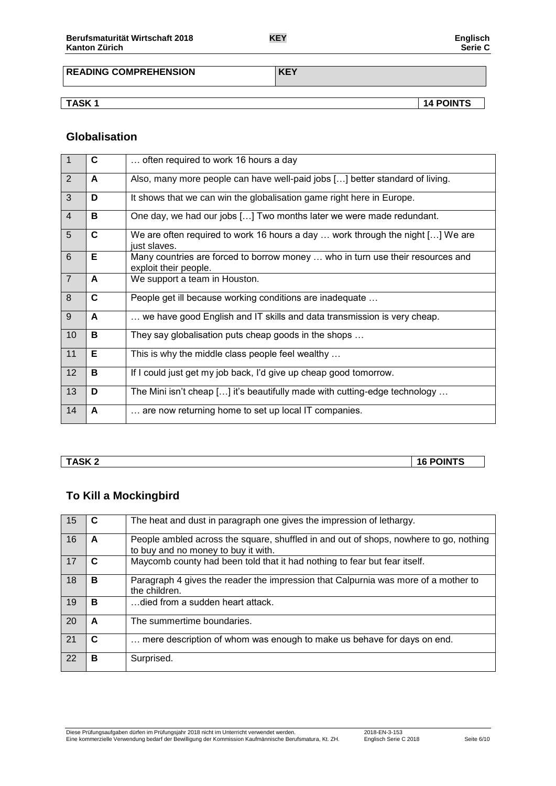**READING COMPREHENSION KEY**

**TASK 1 14 POINTS**

### **Globalisation**

| $\overline{1}$ | C | often required to work 16 hours a day                                                                                      |
|----------------|---|----------------------------------------------------------------------------------------------------------------------------|
| 2              | A | Also, many more people can have well-paid jobs [] better standard of living.                                               |
| 3              | D | It shows that we can win the globalisation game right here in Europe.                                                      |
| $\overline{4}$ | в | One day, we had our jobs [] Two months later we were made redundant.                                                       |
| 5              | C | We are often required to work 16 hours a day $\ldots$ work through the night $\lceil \ldots \rceil$ We are<br>just slaves. |
| 6              | Е | Many countries are forced to borrow money  who in turn use their resources and<br>exploit their people.                    |
| $\overline{7}$ | A | We support a team in Houston.                                                                                              |
| 8              | C | People get ill because working conditions are inadequate                                                                   |
| 9              | A | we have good English and IT skills and data transmission is very cheap.                                                    |
| 10             | в | They say globalisation puts cheap goods in the shops                                                                       |
| 11             | E | This is why the middle class people feel wealthy                                                                           |
| 12             | В | If I could just get my job back, I'd give up cheap good tomorrow.                                                          |
| 13             | D | The Mini isn't cheap [] it's beautifully made with cutting-edge technology                                                 |
| 14             | A | are now returning home to set up local IT companies.                                                                       |

**TASK 2 16 POINTS**

# **To Kill a Mockingbird**

| 15 |   | The heat and dust in paragraph one gives the impression of lethargy.                                                         |
|----|---|------------------------------------------------------------------------------------------------------------------------------|
| 16 | A | People ambled across the square, shuffled in and out of shops, nowhere to go, nothing<br>to buy and no money to buy it with. |
| 17 | C | Maycomb county had been told that it had nothing to fear but fear itself.                                                    |
| 18 | в | Paragraph 4 gives the reader the impression that Calpurnia was more of a mother to<br>the children.                          |
| 19 | в | …died from a sudden heart attack.                                                                                            |
| 20 | A | The summertime boundaries.                                                                                                   |
| 21 | C | mere description of whom was enough to make us behave for days on end.                                                       |
| 22 | в | Surprised.                                                                                                                   |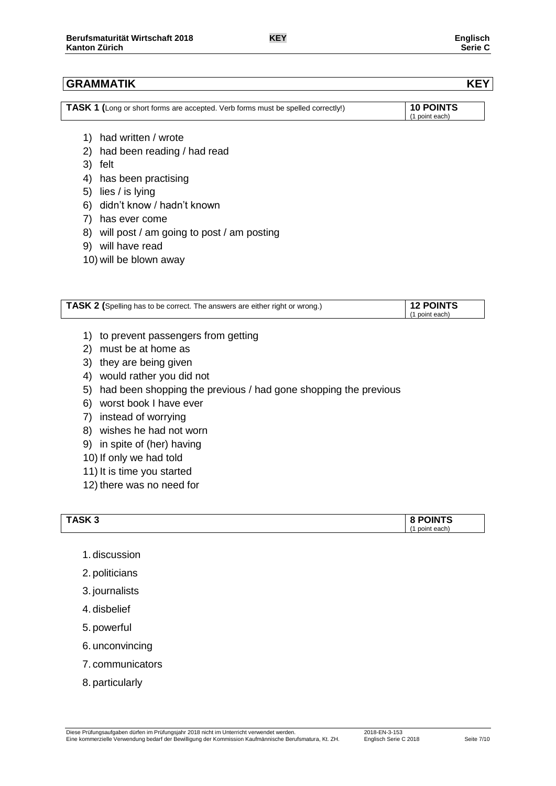| TASK 1 (Long or short forms are accepted. Verb forms must be spelled correctly!) | <b>10 POINTS</b> |
|----------------------------------------------------------------------------------|------------------|
|                                                                                  | (1 point each)   |

- 1) had written / wrote
- 2) had been reading / had read
- 3) felt
- 4) has been practising
- 5) lies / is lying
- 6) didn't know / hadn't known
- 7) has ever come
- 8) will post / am going to post / am posting
- 9) will have read
- 10) will be blown away

| TASK 2 (Spelling has to be correct. The answers are either right or wrong.) | $\vert$ 12 POINTS |
|-----------------------------------------------------------------------------|-------------------|
|                                                                             | (1 point each)    |

- 1) to prevent passengers from getting
- 2) must be at home as
- 3) they are being given
- 4) would rather you did not
- 5) had been shopping the previous / had gone shopping the previous
- 6) worst book I have ever
- 7) instead of worrying
- 8) wishes he had not worn
- 9) in spite of (her) having
- 10) If only we had told
- 11) It is time you started
- 12) there was no need for

| TASK <sub>3</sub> | <b>POINTS</b> |
|-------------------|---------------|
|                   | point each.   |

- 1. discussion
- 2. politicians
- 3. journalists
- 4. disbelief
- 5. powerful
- 6. unconvincing
- 7. communicators
- 8. particularly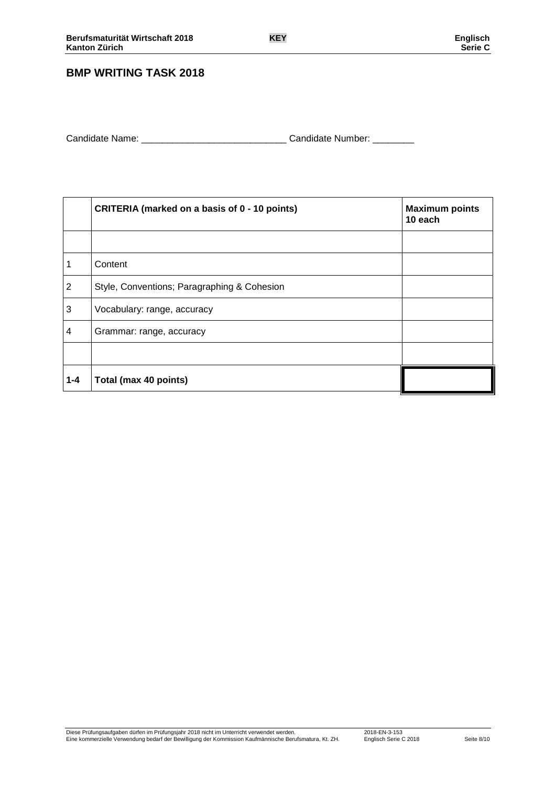## **BMP WRITING TASK 2018**

| Candidate Name: | Candidate Number: |  |
|-----------------|-------------------|--|
|                 |                   |  |

|                | <b>CRITERIA (marked on a basis of 0 - 10 points)</b> | <b>Maximum points</b><br>10 each |  |  |
|----------------|------------------------------------------------------|----------------------------------|--|--|
|                |                                                      |                                  |  |  |
| 1              | Content                                              |                                  |  |  |
| $\overline{2}$ | Style, Conventions; Paragraphing & Cohesion          |                                  |  |  |
| 3              | Vocabulary: range, accuracy                          |                                  |  |  |
| 4              | Grammar: range, accuracy                             |                                  |  |  |
|                |                                                      |                                  |  |  |
| $1 - 4$        | Total (max 40 points)                                |                                  |  |  |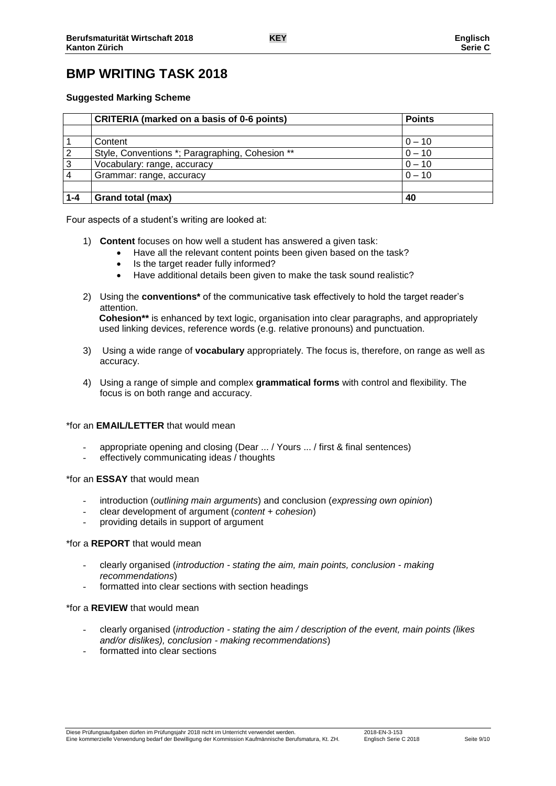# **BMP WRITING TASK 2018**

### **Suggested Marking Scheme**

|         | <b>CRITERIA</b> (marked on a basis of 0-6 points) | <b>Points</b> |
|---------|---------------------------------------------------|---------------|
|         |                                                   |               |
|         | Content                                           | $0 - 10$      |
| 2       | Style, Conventions *; Paragraphing, Cohesion **   | $0 - 10$      |
| 3       | Vocabulary: range, accuracy                       | $0 - 10$      |
|         | Grammar: range, accuracy                          | $0 - 10$      |
|         |                                                   |               |
| $1 - 4$ | Grand total (max)                                 | 40            |

Four aspects of a student's writing are looked at:

- 1) **Content** focuses on how well a student has answered a given task:
	- Have all the relevant content points been given based on the task?
	- Is the target reader fully informed?
	- Have additional details been given to make the task sound realistic?
- 2) Using the **conventions\*** of the communicative task effectively to hold the target reader's attention. **Cohesion\*\*** is enhanced by text logic, organisation into clear paragraphs, and appropriately

used linking devices, reference words (e.g. relative pronouns) and punctuation.

- 3) Using a wide range of **vocabulary** appropriately. The focus is, therefore, on range as well as accuracy.
- 4) Using a range of simple and complex **grammatical forms** with control and flexibility. The focus is on both range and accuracy.

### \*for an **EMAIL/LETTER** that would mean

- appropriate opening and closing (Dear ... / Yours ... / first & final sentences)
- effectively communicating ideas / thoughts

### \*for an **ESSAY** that would mean

- introduction (*outlining main arguments*) and conclusion (*expressing own opinion*)
- clear development of argument (*content + cohesion*)
- providing details in support of argument

### \*for a **REPORT** that would mean

- clearly organised (*introduction - stating the aim, main points, conclusion - making recommendations*)
- formatted into clear sections with section headings

### \*for a **REVIEW** that would mean

- clearly organised (*introduction - stating the aim / description of the event, main points (likes and/or dislikes), conclusion - making recommendations*)
- formatted into clear sections